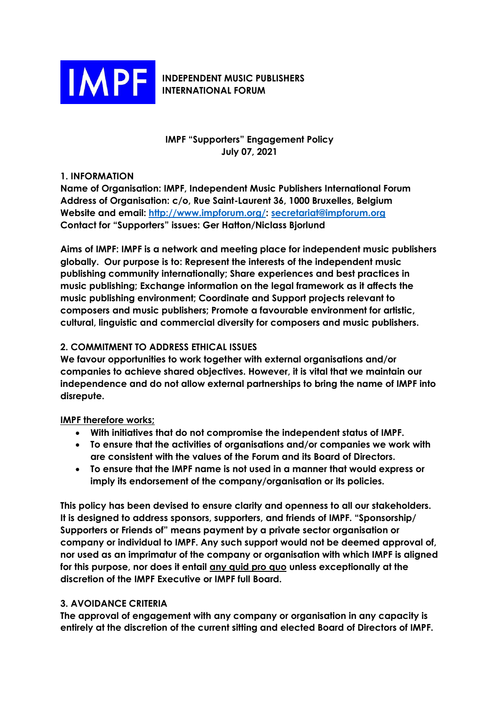

### **INDEPENDENT MUSIC PUBLISHERS INTERNATIONAL FORUM**

# **IMPF "Supporters" Engagement Policy July 07, 2021**

## **1. INFORMATION**

**Name of Organisation: IMPF, Independent Music Publishers International Forum Address of Organisation: c/o, Rue Saint-Laurent 36, 1000 Bruxelles, Belgium Website and email: [http://www.impforum.org/:](https://can01.safelinks.protection.outlook.com/?url=http%3A%2F%2Fwww.impforum.org%2F&data=04%7C01%7Cannette.barrett%40reservoir-media.com%7Cf201d61acc894a9d19aa08d8e21f2c38%7C0310f04cc02845029d6b050258a98fd4%7C0%7C0%7C637507970825923632%7CUnknown%7CTWFpbGZsb3d8eyJWIjoiMC4wLjAwMDAiLCJQIjoiV2luMzIiLCJBTiI6Ik1haWwiLCJXVCI6Mn0%3D%7C1000&sdata=FzTzLPh23mfzqG%2F8fJH7uDI8gCQCGGowZ7DFRZnczZI%3D&reserved=0) [secretariat@impforum.org](mailto:secretariat@impforum.org) Contact for "Supporters" issues: Ger Hatton/Niclass Bjorlund**

**Aims of IMPF: IMPF is a network and meeting place for independent music publishers globally. Our purpose is to: Represent the interests of the independent music publishing community internationally; Share experiences and best practices in music publishing; Exchange information on the legal framework as it affects the music publishing environment; Coordinate and Support projects relevant to composers and music publishers; Promote a favourable environment for artistic, cultural, linguistic and commercial diversity for composers and music publishers.**

## **2. COMMITMENT TO ADDRESS ETHICAL ISSUES**

**We favour opportunities to work together with external organisations and/or companies to achieve shared objectives. However, it is vital that we maintain our independence and do not allow external partnerships to bring the name of IMPF into disrepute.**

### **IMPF therefore works;**

- **With initiatives that do not compromise the independent status of IMPF.**
- **To ensure that the activities of organisations and/or companies we work with are consistent with the values of the Forum and its Board of Directors.**
- **To ensure that the IMPF name is not used in a manner that would express or imply its endorsement of the company/organisation or its policies.**

**This policy has been devised to ensure clarity and openness to all our stakeholders. It is designed to address sponsors, supporters, and friends of IMPF. "Sponsorship/ Supporters or Friends of" means payment by a private sector organisation or company or individual to IMPF. Any such support would not be deemed approval of, nor used as an imprimatur of the company or organisation with which IMPF is aligned for this purpose, nor does it entail any quid pro quo unless exceptionally at the discretion of the IMPF Executive or IMPF full Board.** 

# **3. AVOIDANCE CRITERIA**

**The approval of engagement with any company or organisation in any capacity is entirely at the discretion of the current sitting and elected Board of Directors of IMPF.**